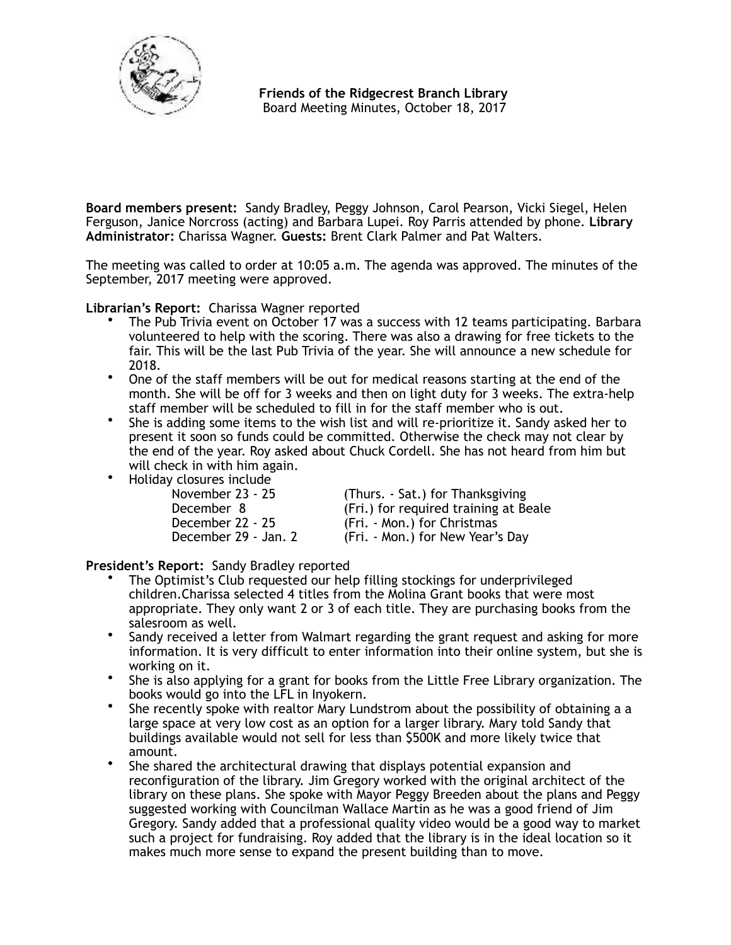

 **Friends of the Ridgecrest Branch Library**  Board Meeting Minutes, October 18, 2017

**Board members present:** Sandy Bradley, Peggy Johnson, Carol Pearson, Vicki Siegel, Helen Ferguson, Janice Norcross (acting) and Barbara Lupei. Roy Parris attended by phone. **Library Administrator:** Charissa Wagner. **Guests:** Brent Clark Palmer and Pat Walters.

The meeting was called to order at 10:05 a.m. The agenda was approved. The minutes of the September, 2017 meeting were approved.

**Librarian's Report:** Charissa Wagner reported

- The Pub Trivia event on October 17 was a success with 12 teams participating. Barbara volunteered to help with the scoring. There was also a drawing for free tickets to the fair. This will be the last Pub Trivia of the year. She will announce a new schedule for 2018.
- One of the staff members will be out for medical reasons starting at the end of the month. She will be off for 3 weeks and then on light duty for 3 weeks. The extra-help staff member will be scheduled to fill in for the staff member who is out.
- She is adding some items to the wish list and will re-prioritize it. Sandy asked her to present it soon so funds could be committed. Otherwise the check may not clear by the end of the year. Roy asked about Chuck Cordell. She has not heard from him but will check in with him again.
- Holiday closures include

| November 23 - 25     | (Thurs. - Sat.) for Thanksgiving      |
|----------------------|---------------------------------------|
| December 8           | (Fri.) for required training at Beale |
| December 22 - 25     | (Fri. - Mon.) for Christmas           |
| December 29 - Jan. 2 | (Fri. - Mon.) for New Year's Day      |

**President's Report:** Sandy Bradley reported

- The Optimist's Club requested our help filling stockings for underprivileged children.Charissa selected 4 titles from the Molina Grant books that were most appropriate. They only want 2 or 3 of each title. They are purchasing books from the salesroom as well.
- Sandy received a letter from Walmart regarding the grant request and asking for more information. It is very difficult to enter information into their online system, but she is working on it.
- She is also applying for a grant for books from the Little Free Library organization. The books would go into the LFL in Inyokern.
- She recently spoke with realtor Mary Lundstrom about the possibility of obtaining a a large space at very low cost as an option for a larger library. Mary told Sandy that buildings available would not sell for less than \$500K and more likely twice that amount.
- She shared the architectural drawing that displays potential expansion and reconfiguration of the library. Jim Gregory worked with the original architect of the library on these plans. She spoke with Mayor Peggy Breeden about the plans and Peggy suggested working with Councilman Wallace Martin as he was a good friend of Jim Gregory. Sandy added that a professional quality video would be a good way to market such a project for fundraising. Roy added that the library is in the ideal location so it makes much more sense to expand the present building than to move.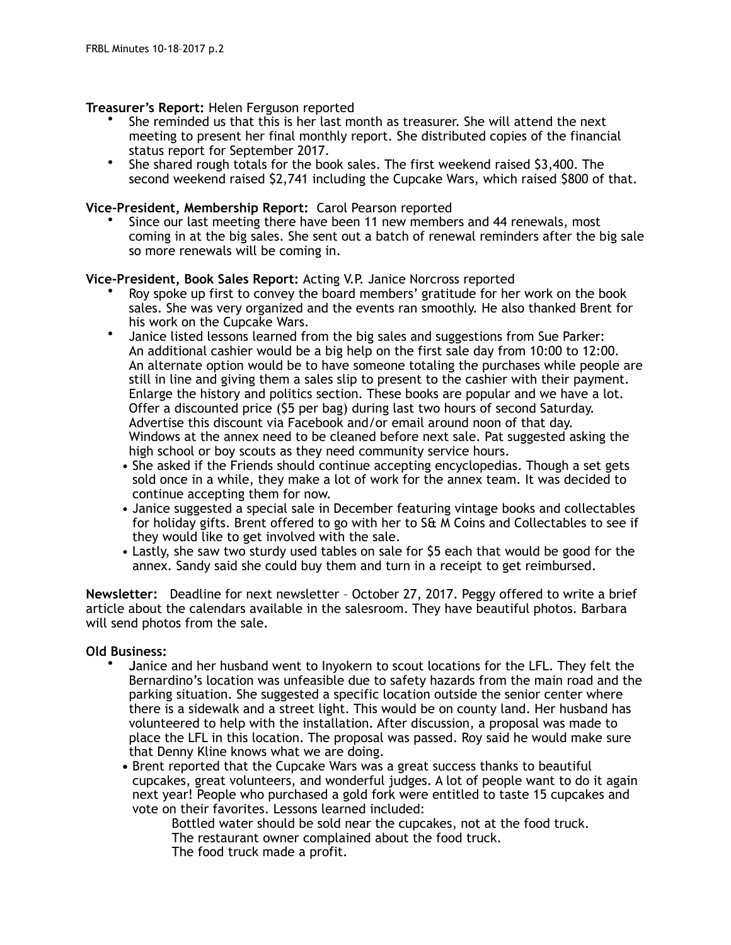## **Treasurer's Report:** Helen Ferguson reported

- She reminded us that this is her last month as treasurer. She will attend the next meeting to present her final monthly report. She distributed copies of the financial status report for September 2017.
- She shared rough totals for the book sales. The first weekend raised \$3,400. The second weekend raised \$2,741 including the Cupcake Wars, which raised \$800 of that.

## **Vice-President, Membership Report:** Carol Pearson reported

• Since our last meeting there have been 11 new members and 44 renewals, most coming in at the big sales. She sent out a batch of renewal reminders after the big sale so more renewals will be coming in.

### **Vice-President, Book Sales Report:** Acting V.P. Janice Norcross reported

- Roy spoke up first to convey the board members' gratitude for her work on the book sales. She was very organized and the events ran smoothly. He also thanked Brent for his work on the Cupcake Wars.
- Janice listed lessons learned from the big sales and suggestions from Sue Parker: An additional cashier would be a big help on the first sale day from 10:00 to 12:00. An alternate option would be to have someone totaling the purchases while people are still in line and giving them a sales slip to present to the cashier with their payment. Enlarge the history and politics section. These books are popular and we have a lot. Offer a discounted price (\$5 per bag) during last two hours of second Saturday. Advertise this discount via Facebook and/or email around noon of that day. Windows at the annex need to be cleaned before next sale. Pat suggested asking the high school or boy scouts as they need community service hours.
	- She asked if the Friends should continue accepting encyclopedias. Though a set gets sold once in a while, they make a lot of work for the annex team. It was decided to continue accepting them for now.
	- Janice suggested a special sale in December featuring vintage books and collectables for holiday gifts. Brent offered to go with her to S& M Coins and Collectables to see if they would like to get involved with the sale.
	- Lastly, she saw two sturdy used tables on sale for \$5 each that would be good for the annex. Sandy said she could buy them and turn in a receipt to get reimbursed.

**Newsletter:** Deadline for next newsletter – October 27, 2017. Peggy offered to write a brief article about the calendars available in the salesroom. They have beautiful photos. Barbara will send photos from the sale.

# **Old Business:**

- **J**anice and her husband went to Inyokern to scout locations for the LFL. They felt the Bernardino's location was unfeasible due to safety hazards from the main road and the parking situation. She suggested a specific location outside the senior center where there is a sidewalk and a street light. This would be on county land. Her husband has volunteered to help with the installation. After discussion, a proposal was made to place the LFL in this location. The proposal was passed. Roy said he would make sure that Denny Kline knows what we are doing.
	- **•** Brent reported that the Cupcake Wars was a great success thanks to beautiful cupcakes, great volunteers, and wonderful judges. A lot of people want to do it again next year! People who purchased a gold fork were entitled to taste 15 cupcakes and vote on their favorites. Lessons learned included:

 Bottled water should be sold near the cupcakes, not at the food truck. The restaurant owner complained about the food truck. The food truck made a profit.